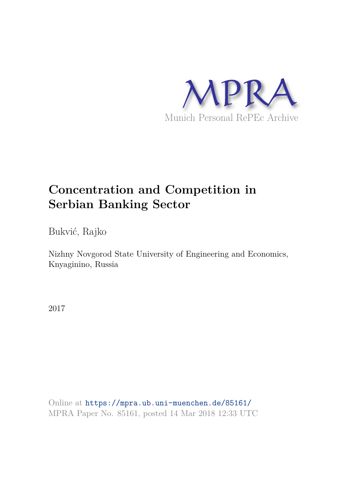

# **Concentration and Competition in Serbian Banking Sector**

Bukvić, Rajko

Nizhny Novgorod State University of Engineering and Economics, Knyaginino, Russia

2017

Online at https://mpra.ub.uni-muenchen.de/85161/ MPRA Paper No. 85161, posted 14 Mar 2018 12:33 UTC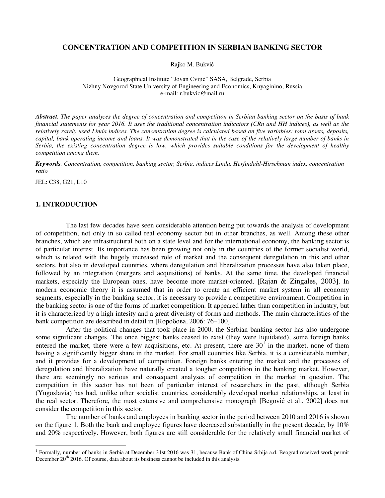# **CONCENTRATION AND COMPETITION IN SERBIAN BANKING SECTOR**

Rajko M. Bukvić

Geographical Institute "Jovan Cvijić" SASA, Belgrade, Serbia Nizhny Novgorod State University of Engineering and Economics, Knyaginino, Russia e-mail: r.bukvic@mail.ru

*Abstract. The paper analyzes the degree of concentration and competition in Serbian banking sector on the basis of bank financial statements for year 2016. It uses the traditional concentration indicators (CRn and HH indices), as well as the relatively rarely used Linda indices. The concentration degree is calculated based on five variables: total assets, deposits, capital, bank operating income and loans. It was demonstrated that in the case of the relatively large number of banks in Serbia, the existing concentration degree is low, which provides suitable conditions for the development of healthy competition among them.* 

*Keywords. Concentration, competition, banking sector, Serbia, indices Linda, Herfindahl-Hirschman index, concentration ratio*

JEL: C38, G21, L10

 $\overline{a}$ 

#### **1. INTRODUCTION**

The last few decades have seen considerable attention being put towards the analysis of development of competition, not only in so called real economy sector but in other branches, as well. Among these other branches, which are infrastructural both on a state level and for the international economy, the banking sector is of particular interest. Its importance has been growing not only in the countries of the former socialist world, which is related with the hugely increased role of market and the consequent deregulation in this and other sectors, but also in developed countries, where deregulation and liberalization processes have also taken place, followed by an integration (mergers and acquisitions) of banks. At the same time, the developed financial markets, especialy the European ones, have become more market-oriented. [Rajan & Zingales, 2003]. In modern economic theory it is assumed that in order to create an efficient market system in all economy segments, especially in the banking sector, it is necessary to provide a competitive environment. Competition in the banking sector is one of the forms of market competition. It appeared lather than competition in industry, but it is characterized by a high intesity and a great diveristy of forms and methods. The main characteristics of the bank competition are described in detail in [Коробова, 2006: 76–100].

After the political changes that took place in 2000, the Serbian banking sector has also undergone some significant changes. The once biggest banks ceased to exist (they were liquidated), some foreign banks entered the market, there were a few acquisitions, etc. At present, there are  $30<sup>T</sup>$  in the market, none of them having a significantly bigger share in the market. For small countries like Serbia, it is a considerable number, and it provides for a development of competition. Foreign banks entering the market and the processes of deregulation and liberalization have naturally created a tougher competition in the banking market. However, there are seemingly no serious and consequent analyses of competition in the market in question. The competition in this sector has not been of particular interest of researchers in the past, although Serbia (Yugoslavia) has had, unlike other socialist countries, considerably developed market relationships, at least in the real sector. Therefore, the most extensive and comprehensive monograph [Begović et al., 2002] does not consider the competition in this sector.

 The number of banks and employees in banking sector in the period between 2010 and 2016 is shown on the figure 1. Both the bank and employee figures have decreased substantially in the present decade, by 10% and 20% respectively. However, both figures are still considerable for the relatively small financial market of

<span id="page-1-0"></span><sup>&</sup>lt;sup>1</sup> Formally, number of banks in Serbia at December 31st 2016 was 31, because Bank of China Srbija a.d. Beograd received work permit December  $20<sup>th</sup>$  2016. Of course, data about its business cannot be included in this analysis.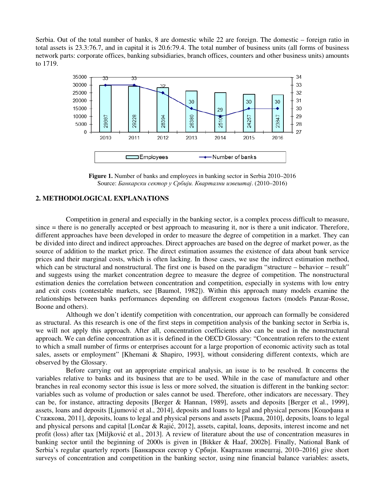Serbia. Out of the total number of banks, 8 are domestic while 22 are foreign. The domestic – foreign ratio in total assets is 23.3:76.7, and in capital it is 20.6:79.4. The total number of business units (all forms of business network parts: corporate offices, banking subsidiaries, branch offices, counters and other business units) amounts to 1719.



**Figure 1.** Number of banks and employees in banking sector in Serbia 2010–2016 Source: *Банкарски сектор у Србији. Квартални извештај*. (2010–2016)

# **2. METHODOLOGICAL EXPLANATIONS**

Competition in general and especially in the banking sector, is a complex process difficult to measure, since = there is no generally accepted or best approach to measuring it, nor is there a unit indicator. Therefore, different approaches have been developed in order to measure the degree of competition in a market. They can be divided into direct and indirect approaches. Direct approaches are based on the degree of market power, as the source of addition to the market price. The direct estimation assumes the existence of data about bank service prices and their marginal costs, which is often lacking. In those cases, we use the indirect estimation method, which can be structural and nonstructural. The first one is based on the paradigm "structure – behavior – result" and suggests using the market concentration degree to measure the degree of competition. The nonstructural estimation denies the correlation between concentration and competition, especially in systems with low entry and exit costs (contestable markets, see [Baumol, 1982]). Within this approach many models examine the relationships between banks performances depending on different exogenous factors (models Panzar-Rosse, Boone and others).

 Although we don't identify competition with concentration, our approach can formally be considered as structural. As this research is one of the first steps in competition analysis of the banking sector in Serbia is, we will not apply this approach. After all, concentration coefficients also can be used in the nonstructural approach. We can define concentration as it is defined in the OECD Glossary: "Concentration refers to the extent to which a small number of firms or enterprises account for a large proportion of economic activity such as total sales, assets or employment" [Khemani & Shapiro, 1993], without considering different contexts, which are observed by the Glossary.

Before carrying out an appropriate empirical analysis, an issue is to be resolved. It concerns the variables relative to banks and its business that are to be used. While in the case of manufacture and other branches in real economy sector this issue is less or more solved, the situation is different in the banking sector: variables such as volume of production or sales cannot be used. Therefore, other indicators are necessary. They can be, for instance, attracting deposits [Berger & Hannan, 1989], assets and deposits [Berger et al., 1999], assets, loans and deposits [Ljumović et al., 2014], deposits and loans to legal and physical persons [Коцофана и Стажкова, 2011], deposits, loans to legal and physical persons and assets [Ракша, 2010], deposits, loans to legal and physical persons and capital [Lončar & Rajić, 2012], assets, capital, loans, deposits, interest income and net profit (loss) after tax [Miljković et al., 2013]. A review of literature about the use of concentration measures in banking sector until the beginning of 2000s is given in [Bikker & Haaf, 2002b]. Finally, National Bank of Serbia's regular quarterly reports [Банкарски сектор у Србији. Квартални извештај, 2010–2016] give short surveys of concentration and competition in the banking sector, using nine financial balance variables: assets,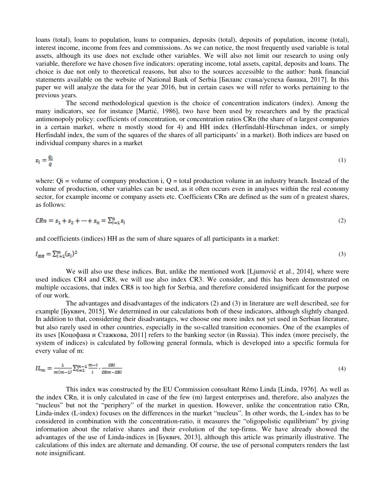loans (total), loans to population, loans to companies, deposits (total), deposits of population, income (total), interest income, income from fees and commissions. As we can notice, the most frequently used variable is total assets, although its use does not exclude other variables. We will also not limit our research to using only variable, therefore we have chosen five indicators: operating income, total assets, capital, deposits and loans. The choice is due not only to theoretical reasons, but also to the sources accessible to the author: bank financial statements available on the website of National Bank of Serbia [Биланс стања/успеха банака, 2017]. In this paper we will analyze the data for the year 2016, but in certain cases we will refer to works pertaining to the previous years.

The second methodological question is the choice of concentration indicators (index). Among the many indicators, see for instance [Martić, 1986], two have been used by researchers and by the practical antimonopoly policy: coefficients of concentration, or concentration ratios CRn (the share of n largest companies in a certain market, where n mostly stood for 4) and HH index (Herfindahl-Hirschman index, or simply Herfindahl index, the sum of the squares of the shares of all participants' in a market). Both indices are based on individual company shares in a market

$$
s_i = \frac{q_i}{q} \tag{1}
$$

where:  $Qi = volume of company production i$ ,  $Q = total production volume in an industry branch$ . Instead of the volume of production, other variables can be used, as it often occurs even in analyses within the real economy sector, for example income or company assets etc. Coefficients CRn are defined as the sum of n greatest shares, as follows:

$$
CRn = s_1 + s_2 + \dots + s_n = \sum_{i=1}^n s_i
$$
\n(2)

and coefficients (indices) HH as the sum of share squares of all participants in a market:

$$
I_{HH} = \sum_{i=1}^{m} (s_i)^2 \tag{3}
$$

We will also use these indices. But, unlike the mentioned work [Ljumović et al., 2014], where were used indices CR4 and CR8, we will use also index CR3. We consider, and this has been demonstrated on multiple occasions, that index CR8 is too high for Serbia, and therefore considered insignificant for the purpose of our work.

The advantages and disadvantages of the indicators (2) and (3) in literature are well described, see for example [Буквич, 2015]. We determined in our calculations both of these indicators, although slightly changed. In addition to that, considering their disadvantages, we choose one more index not yet used in Serbian literature, but also rarely used in other countries, especially in the so-called transition economies. One of the examples of its uses [Коцофана и Стажкова, 2011] refers to the banking sector (in Russia). This index (more precisely, the system of indices) is calculated by following general formula, which is developed into a specific formula for every value of m:

$$
IL_m = \frac{1}{m(m-1)} \sum_{i=1}^{m-1} \frac{m-i}{i} \cdot \frac{cni}{cm - cni} \tag{4}
$$

This index was constructed by the EU Commission consultant Rémo Linda [Linda, 1976]. As well as the index CRn, it is only calculated in case of the few (m) largest enterprises and, therefore, also analyzes the "nucleus" but not the "periphery" of the market in question. However, unlike the concentration ratio CRn, Linda-index (L-index) focuses on the differences in the market "nucleus". In other words, the L-index has to be considered in combination with the concentration-ratio, it measures the "oligopolistic equilibrium" by giving information about the relative shares and their evolution of the top-firms. We have already showed the advantages of the use of Linda-indices in [Буквич, 2013], although this article was primarily illustrative. The calculations of this index are alternate and demanding. Of course, the use of personal computers renders the last note insignificant.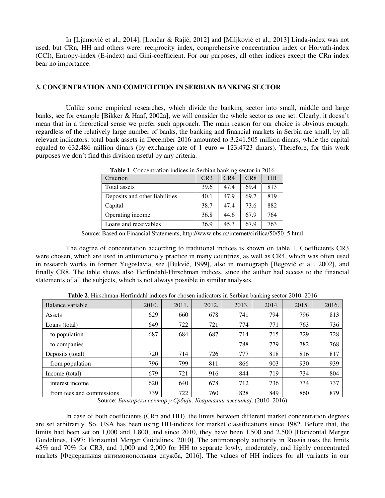In [Ljumović et al., 2014], [Lončar & Rajić, 2012] and [Miljković et al., 2013] Linda-index was not used, but CRn, HH and others were: reciprocity index, comprehensive concentration index or Horvath-index (CCI), Entropy-index (E-index) and Gini-coefficient. For our purposes, all other indices except the CRn index bear no importance.

### **3. CONCENTRATION AND COMPETITION IN SERBIAN BANKING SECTOR**

Unlike some empirical researches, which divide the banking sector into small, middle and large banks, see for example [Bikker & Haaf, 2002a], we will consider the whole sector as one set. Clearly, it doesn't mean that in a theoretical sense we prefer such approach. The main reason for our choice is obvious enough: regardless of the relatively large number of banks, the banking and financial markets in Serbia are small, by all relevant indicators: total bank assets in December 2016 amounted to 3.241.505 million dinars, while the capital equaled to 632.486 million dinars (by exchange rate of 1 euro  $= 123,4723$  dinars). Therefore, for this work purposes we don't find this division useful by any criteria.

| <b>TWOICE:</b> Concentration male of the belong familing beetor in 2010 |      |      |                 |           |  |
|-------------------------------------------------------------------------|------|------|-----------------|-----------|--|
| Criterion                                                               | CR3  | CR4  | CR <sub>8</sub> | <b>HH</b> |  |
| Total assets                                                            | 39.6 | 47.4 | 69.4            | 813       |  |
| Deposits and other liabilities                                          | 40.1 | 47.9 | 69.7            | 819       |  |
| Capital                                                                 | 38.7 | 47.4 | 73.6            | 882       |  |
| Operating income                                                        | 36.8 | 44.6 | 67.9            | 764       |  |
| Loans and receivables                                                   | 36.9 | 45.3 | 67.9            | 763       |  |

**Table 1**. Concentration indices in Serbian banking sector in 2016

Source: Based on Financial Statements, http://www.nbs.rs/internet/cirilica/50/50\_5.html

The degree of concentration according to traditional indices is shown on table 1. Coefficients CR3 were chosen, which are used in antimonopoly practice in many countries, as well as CR4, which was often used in research works in former Yugoslavia, see [Bukvić, 1999], also in monograph [Begović et al., 2002], and finally CR8. The table shows also Herfindahl-Hirschman indices, since the author had access to the financial statements of all the subjects, which is not always possible in similar analyses.

| Balance variable          | 2010. | 2011. | 2012. | 2013. | 2014. | 2015. | 2016. |
|---------------------------|-------|-------|-------|-------|-------|-------|-------|
| Assets                    | 629   | 660   | 678   | 741   | 794   | 796   | 813   |
| Loans (total)             | 649   | 722   | 721   | 774   | 771   | 763   | 736   |
| to population             | 687   | 684   | 687   | 714   | 715   | 729   | 728   |
| to companies              |       |       |       | 788   | 779   | 782   | 768   |
| Deposits (total)          | 720   | 714   | 726   | 777   | 818   | 816   | 817   |
| from population           | 796   | 799   | 811   | 866   | 903   | 930   | 939   |
| Income (total)            | 679   | 721   | 916   | 844   | 719   | 734   | 804   |
| interest income           | 620   | 640   | 678   | 712   | 736   | 734   | 737   |
| from fees and commissions | 739   | 722   | 760   | 828   | 849   | 860   | 879   |

**Table 2**. Hirschman-Herfindahl indices for chosen indicators in Serbian banking sector 2010–2016

Source: *Банкарски сектор у Србији. Квартални извештај*. (2010–2016)

In case of both coefficients (CRn and HH), the limits between different market concentration degrees are set arbitrarily. So, USA has been using HH-indices for market classifications since 1982. Before that, the limits had been set on 1,000 and 1,800, and since 2010, they have been 1,500 and 2,500 [Horizontal Merger Guidelines, 1997; Horizontal Merger Guidelines, 2010]. The antimonopoly authority in Russia uses the limits 45% and 70% for CR3, and 1,000 and 2,000 for HH to separate lowly, moderately, and highly concentrated markets [Федеральная антимонопольная служба, 2016]. The values of HH indices for all variants in our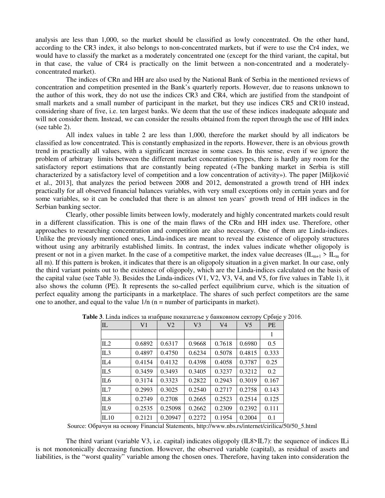analysis are less than 1,000, so the market should be classified as lowly concentrated. On the other hand, according to the CR3 index, it also belongs to non-concentrated markets, but if were to use the Cr4 index, we would have to classify the market as a moderately concentrated one (except for the third variant, the capital, but in that case, the value of CR4 is practically on the limit between a non-concentrated and a moderatelyconcentrated market).

 The indices of CRn and HH are also used by the National Bank of Serbia in the mentioned reviews of concentration and competition presented in the Bank's quarterly reports. However, due to reasons unknown to the author of this work, they do not use the indices CR3 and CR4, which are justified from the standpoint of small markets and a small number of participant in the market, but they use indices CR5 and CR10 instead, considering share of five, i.e. ten largest banks. We deem that the use of these indices inadequate adequate and will not consider them. Instead, we can consider the results obtained from the report through the use of HH index (see table 2).

All index values in table 2 are less than 1,000, therefore the market should by all indicators be classified as low concentrated. This is constantly emphasized in the reports. However, there is an obvious growth trend in practically all values, with a significant increase in some cases. In this sense, even if we ignore the problem of arbitrary limits between the different market concentration types, there is hardly any room for the satisfactory report estimations that are constantly being repeated («The banking market in Serbia is still characterized by a satisfactory level of competition and a low concentration of activity»). The paper [Miljković et al., 2013], that analyzes the period between 2008 and 2012, demonstrated a growth trend of HH index practically for all observed financial balances variables, with very small exceptions only in certain years and for some variables, so it can be concluded that there is an almost ten years' growth trend of HH indices in the Serbian banking sector.

 Clearly, other possible limits between lowly, moderately and highly concentrated markets could result in a different classification. This is one of the main flaws of the CRn and HH index use. Therefore, other approaches to researching concentration and competition are also necessary. One of them are Linda-indices. Unlike the previously mentioned ones, Linda-indices are meant to reveal the existence of oligopoly structures without using any arbitrarily established limits. In contrast, the index values indicate whether oligopoly is present or not in a given market. In the case of a competitive market, the index value decreases ( $IL_{m+1} > IL_m$  for all m). If this pattern is broken, it indicates that there is an oligopoly situation in a given market. In our case, only the third variant points out to the existence of oligopoly, which are the Linda-indices calculated on the basis of the capital value (see Table 3). Besides the Linda-indices (V1, V2, V3, V4, and V5, for five values in Table 1), it also shows the column (PE). It represents the so-called perfect equilibrium curve, which is the situation of perfect equality among the participants in a marketplace. The shares of such perfect competitors are the same one to another, and equal to the value  $1/n$  (n = number of participants in market).

| IL              | V <sub>1</sub> | V <sub>2</sub> | V <sub>3</sub> | V <sub>4</sub> | V <sub>5</sub> | <b>PE</b> |
|-----------------|----------------|----------------|----------------|----------------|----------------|-----------|
|                 |                |                |                |                |                | 1         |
| IL2             | 0.6892         | 0.6317         | 0.9668         | 0.7618         | 0.6980         | 0.5       |
| IL3             | 0.4897         | 0.4750         | 0.6234         | 0.5078         | 0.4815         | 0.333     |
| $\mathsf{II}$   | 0.4154         | 0.4132         | 0.4398         | 0.4058         | 0.3787         | 0.25      |
| IL <sub>5</sub> | 0.3459         | 0.3493         | 0.3405         | 0.3237         | 0.3212         | 0.2       |
| IL <sub>6</sub> | 0.3174         | 0.3323         | 0.2822         | 0.2943         | 0.3019         | 0.167     |
| IL7             | 0.2993         | 0.3025         | 0.2540         | 0.2717         | 0.2758         | 0.143     |
| IL <sub>8</sub> | 0.2749         | 0.2708         | 0.2665         | 0.2523         | 0.2514         | 0.125     |
| IL9             | 0.2535         | 0.25098        | 0.2662         | 0.2309         | 0.2392         | 0.111     |
| IL10            | 0.2121         | 0.20947        | 0.2272         | 0.1954         | 0.2004         | 0.1       |

**Table 3**. Linda indices за изабране показатеље у банковном сектору Србије у 2016.

Source: Обрачун на основу Financial Statements, http://www.nbs.rs/internet/cirilica/50/50\_5.html

 The third variant (variable V3, i.e. capital) indicates oligopoly (IL8>IL7): the sequence of indices ILi is not monotonically decreasing function. However, the observed variable (capital), as residual of assets and liabilities, is the "worst quality" variable among the chosen ones. Therefore, having taken into consideration the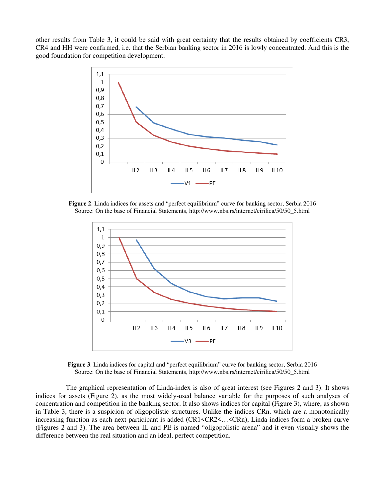other results from Table 3, it could be said with great certainty that the results obtained by coefficients CR3, CR4 and HH were confirmed, i.e. that the Serbian banking sector in 2016 is lowly concentrated. And this is the good foundation for competition development.



**Figure 2**. Linda indices for assets and "perfect equilibrium" curve for banking sector, Serbia 2016 Source: On the base of Financial Statements, http://www.nbs.rs/internet/cirilica/50/50\_5.html



**Figure 3**. Linda indices for capital and "perfect equilibrium" curve for banking sector, Serbia 2016 Source: On the base of Financial Statements, http://www.nbs.rs/internet/cirilica/50/50\_5.html

The graphical representation of Linda-index is also of great interest (see Figures 2 and 3). It shows indices for assets (Figure 2), as the most widely-used balance variable for the purposes of such analyses of concentration and competition in the banking sector. It also shows indices for capital (Figure 3), where, as shown in Table 3, there is a suspicion of oligopolistic structures. Unlike the indices CRn, which are a monotonically increasing function as each next participant is added (CR1<CR2<…<CRn), Linda indices form a broken curve (Figures 2 and 3). The area between IL and PE is named "oligopolistic arena" and it even visually shows the difference between the real situation and an ideal, perfect competition.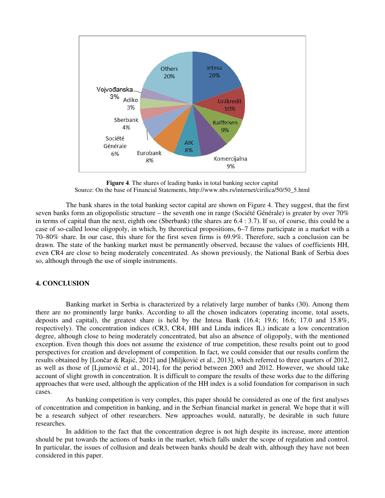

**Figure 4**. The shares of leading banks in total banking sector capital Source: On the base of Financial Statements, http://www.nbs.rs/internet/cirilica/50/50\_5.html

The bank shares in the total banking sector capital are shown on Figure 4. They suggest, that the first seven banks form an oligopolistic structure – the seventh one in range (Société Générale) is greater by over 70% in terms of capital than the next, eighth one (Sberbank) (the shares are 6.4 : 3.7). If so, of course, this could be a case of so-called loose oligopoly, in which, by theoretical propositions, 6–7 firms participate in a market with a 70–80% share. In our case, this share for the first seven firms is 69.9%. Therefore, such a conclusion can be drawn. The state of the banking market must be permanently observed, because the values of coefficients HH, even CR4 are close to being moderately concentrated. As shown previously, the National Bank of Serbia does so, although through the use of simple instruments.

### **4. CONCLUSION**

 Banking market in Serbia is characterized by a relatively large number of banks (30). Among them there are no prominently large banks. According to all the chosen indicators (operating income, total assets, deposits and capital), the greatest share is held by the Intesa Bank (16.4; 19.6; 16.6; 17.0 and 15.8%, respectively). The concentration indices (CR3, CR4, HH and Linda indices IL) indicate a low concentration degree, although close to being moderately concentrated, but also an absence of oligopoly, with the mentioned exception. Even though this does not assume the existence of true competition, these results point out to good perspectives for creation and development of competition. In fact, we could consider that our results confirm the results obtained by [Lončar & Rajić, 2012] and [Miljković et al., 2013], which referred to three quarters of 2012, as well as those of [Ljumović et al., 2014], for the period between 2003 and 2012. However, we should take account of slight growth in concentration. It is difficult to compare the results of these works due to the differing approaches that were used, although the application of the HH index is a solid foundation for comparison in such cases.

As banking competition is very complex, this paper should be considered as one of the first analyses of concentration and competition in banking, and in the Serbian financial market in general. We hope that it will be a research subject of other researchers. New approaches would, naturally, be desirable in such future researches.

In addition to the fact that the concentration degree is not high despite its increase, more attention should be put towards the actions of banks in the market, which falls under the scope of regulation and control. In particular, the issues of collusion and deals between banks should be dealt with, although they have not been considered in this paper.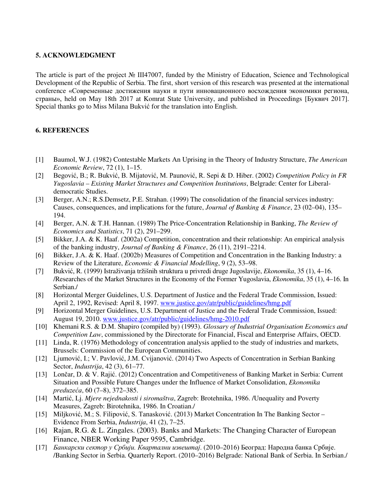# **5. ACKNOWLEDGMENT**

The article is part of the project № III47007, funded by the Ministry of Education, Science and Technological Development of the Republic of Serbia. The first, short version of this research was presented at the international conference «Современные достижения науки и пути инновационного восхождения экономики региона, страны», held on May 18th 2017 at Komrat State University, and published in Proceedings [Буквич 2017]. Special thanks go to Miss Milana Bukvić for the translation into English.

# **6. REFERENCES**

- [1] Baumol, W.J. (1982) Contestable Markets An Uprising in the Theory of Industry Structure, *The American Economic Review*, 72 (1), 1–15.
- [2] Begović, B.; R. Bukvić, B. Mijatović, M. Paunović, R. Sepi & D. Hiber. (2002) *Competition Policy in FR Yugoslavia – Existing Market Structures and Competition Institutions*, Belgrade: Center for Liberaldemocratic Studies.
- [3] Berger, A.N.; R.S.Demsetz, P.E. Strahan. (1999) The consolidation of the financial services industry: Causes, consequences, and implications for the future, *Journal of Banking & Finance*, 23 (02–04), 135– 194.
- [4] Berger, A.N. & T.H. Hannan. (1989) The Price-Concentration Relationship in Banking, *The Review of Economics and Statistics*, 71 (2), 291–299.
- [5] Bikker, J.A. & K. Haaf. (2002a) Competition, concentration and their relationship: An empirical analysis of the banking industry, *Journal of Banking & Finance*, 26 (11), 2191–2214.
- [6] Bikker, J.A. & K. Haaf. (2002b) Measures of Competition and Concentration in the Banking Industry: a Review of the Literature, *Economic & Financial Modelling*, 9 (2), 53–98.
- [7] Bukvić, R. (1999) Istraživanja tržišnih struktura u privredi druge Jugoslavije, *Ekonomika*, 35 (1), 4–16. /Researches of the Market Structures in the Economy of the Former Yugoslavia, *Ekonomika*, 35 (1), 4–16. In Serbian./
- [8] Horizontal Merger Guidelines, U.S. Department of Justice and the Federal Trade Commission, Issued: April 2, 1992, Revised: April 8, 1997. www.justice.gov/atr/public/guidelines/hmg.pdf
- [9] Horizontal Merger Guidelines, U.S. Department of Justice and the Federal Trade Commission, Issued: August 19, 2010. www.justice.gov/atr/public/guidelines/hmg-2010.pdf
- [10] Khemani R.S. & D.M. Shapiro (compiled by) (1993). *Glossary of Industrial Organisation Economics and Competition Law*, commissioned by the Directorate for Financial, Fiscal and Enterprise Affairs, OECD.
- [11] Linda, R. (1976) Methodology of concentration analysis applied to the study of industries and markets, Brussels: Commission of the European Communities.
- [12] Ljumović, I.; V. Pavlović, J.M. Cvijanović. (2014) Two Aspects of Concentration in Serbian Banking Sector, *Industrija*, 42 (3), 61–77.
- [13] Lončar, D. & V. Rajić. (2012) Concentration and Competitiveness of Banking Market in Serbia: Current Situation and Possible Future Changes under the Influence of Market Consolidation, *Ekonomika preduzeća*, 60 (7–8), 372–385.
- [14] Martić, Lj. *Mjere nejednakosti i siromaštva*, Zagreb: Brotehnika, 1986. /Unequality and Poverty Measures, Zagreb: Birotehnika, 1986. In Croatian./
- [15] Miljković, M.; S. Filipović, S. Tanasković. (2013) Market Concentration In The Banking Sector Evidence From Serbia, *Industrija*, 41 (2), 7–25.
- [16] Rajan, R.G. & L. Zingales. (2003). Banks and Markets: The Changing Character of European Finance, NBER Working Paper 9595, Cambridge.
- [17] *Банкарски сектор у Србији. Квартални извештај*. (2010–2016) Београд: Народна банка Србије. /Banking Sector in Serbia. Quarterly Report. (2010–2016) Belgrade: National Bank of Serbia. In Serbian./